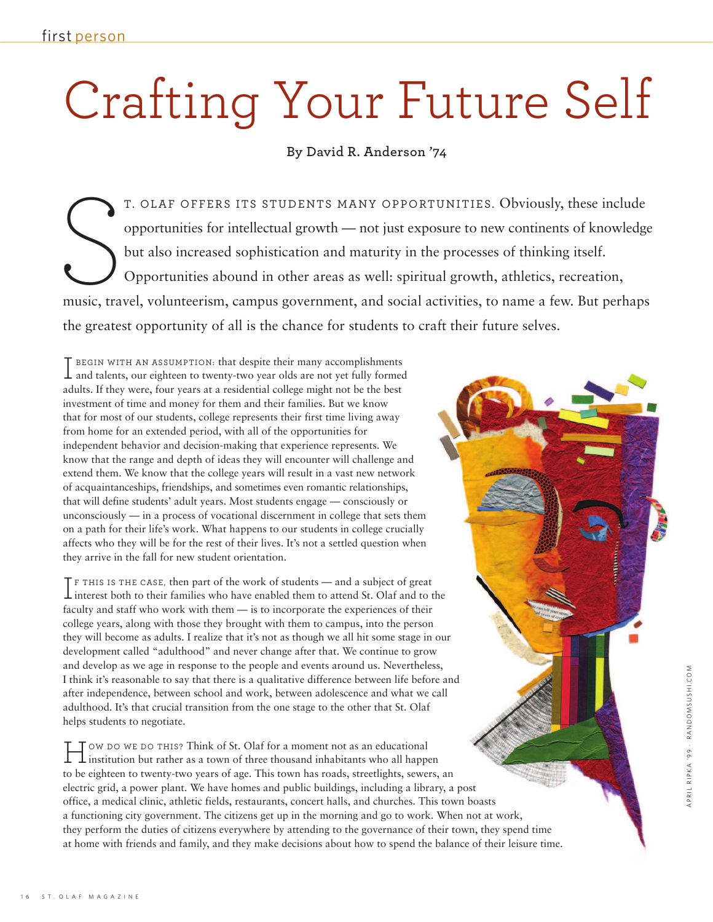## Crafting Your Future Self

**By David R. Anderson '74**

T. OLAF OFFERS ITS STUDENTS MANY OPPORTUNITIES. Obviously, these include opportunities for intellectual growth — not just exposure to new continents of knowledge but also increased sophistication and maturity in the processes of thinking itself. Opportunities abound in other areas as well: spiritual growth, athletics, recreation, T. OLAF OFFERS ITS STUDENTS MANY OPPORTUNITIES. Obviously, these include opportunities for intellectual growth — not just exposure to new continents of knowledge but also increased sophistication and maturity in the proces the greatest opportunity of all is the chance for students to craft their future selves.

adults. If they were, four years at a residential college might not be the best investment of time and money for them and their families. But we know T BEGIN WITH AN ASSUMPTION: that despite their many accomplishments  $\perp$  and talents, our eighteen to twenty-two year olds are not yet fully formed investment of time and money for them and their families. But we know that for most of our students, college represents their first time living away from home for an extended period, with all of the opportunities for independent behavior and decision-making that experience represents. We know that the range and depth of ideas they will encounter will challenge and extend them. We know that the college years will result in a vast new network of acquaintanceships, friendships, and sometimes even romantic relationships, that will define students' adult years. Most students engage — consciously or unconsciously — in a process of vocational discernment in college that sets them on a path for their life's work. What happens to our students in college crucially affects who they will be for the rest of their lives. It's not a settled question when they arrive in the fall for new student orientation.

faculty and staff who work with them — is to incorporate the experiences of their college years, along with those they brought with them to campus, into the person  $\mathsf T$  F THIS IS THE CASE, then part of the work of students — and a subject of great  $\perp$  interest both to their families who have enabled them to attend St. Olaf and to the college years, along with those they brought with them to campus, into the person they will become as adults. I realize that it's not as though we all hit some stage in our development called "adulthood" and never change after that. We continue to grow and develop as we age in response to the people and events around us. Nevertheless, I think it's reasonable to say that there is a qualitative difference between life before and after independence, between school and work, between adolescence and what we call adulthood. It's that crucial transition from the one stage to the other that St. Olaf helps students to negotiate.

T OW DO WE DO THIS? Think of St. Olaf for a moment not as an educational<br>institution but rather as a town of three thousand inhabitants who all happ<br>to be eighteen to twenty-two years of age. This town has roads, streetlig institution but rather as a town of three thousand inhabitants who all happen to be eighteen to twenty-two years of age. This town has roads, streetlights, sewers, an electric grid, a power plant. We have homes and public buildings, including a library, a post office, a medical clinic, athletic fields, restaurants, concert halls, and churches. This town boasts a functioning city government. The citizens get up in the morning and go to work. When not at work, they perform the duties of citizens everywhere by attending to the governance of their town, they spend time at home with friends and family, and they make decisions about how to spend the balance of their leisure time.